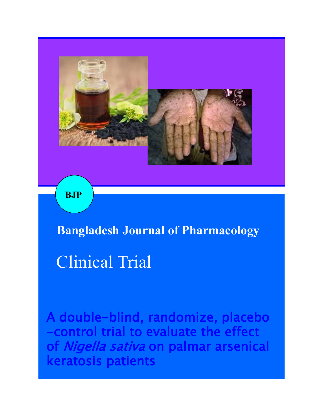

**BJP**

**Bangladesh Journal of Pharmacology**

Clinical Trial

A double-blind, randomize, placebo -control trial to evaluate the effect of Nigella sativa on palmar arsenical keratosis patients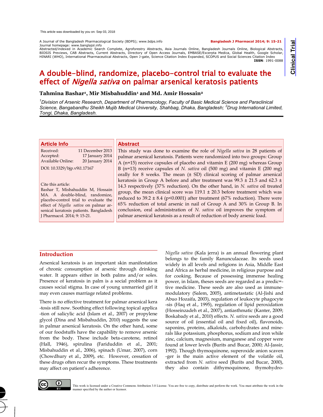A Journal of the Bangladesh Pharmacological Society (BDPS); www.bdps.info **Bangladesh J Pharmacol 2014; 9: 15-21** Journal homepage: www.banglajol.info

Clinical Trial **Clinical Trial**

Abstracted/indexed in Academic Search Complete, Agroforestry Abstracts, Asia Journals Online, Bangladesh Journals Online, Biological Abstracts, BIOSIS Previews, CAB Abstracts, Current Abstracts, Directory of Open Access Journals, EMBASE/Excerpta Medica, Global Health, Google Scholar, HINARI (WHO), International Pharmaceutical Abstracts, Open J-gate, Science Citation Index Expanded, SCOPUS and Social Sciences Citation Index **ISSN**: 1991-0088

# A double-blind, randomize, placebo-control trial to evaluate the effect of *Nigella sativa* on palmar arsenical keratosis patients

# **Tahmina Bashar<sup>1</sup> , Mir Misbahuddin<sup>1</sup> and Md. Amir Hossain<sup>2</sup>**

*<sup>1</sup>Division of Arsenic Research, Department of Pharmacology, Faculty of Basic Medical Science and Paraclinical Science, Bangabandhu Sheikh Mujib Medical University, Shahbag, Dhaka, Bangladesh; <sup>2</sup>Drug International Limited, Tongi, Dhaka, Bangladesh.* 

| <b>Article Info</b>                                    | <b>Abstract</b>                                                                    |
|--------------------------------------------------------|------------------------------------------------------------------------------------|
| Received:<br>11 December 2013                          | This study was done to examine the role of Nigella sativa in 28 patients of        |
| 17 January 2014<br>Accepted:                           | palmar arsenical keratosis. Patients were randomized into two groups: Group        |
| Available Online:<br>20 January 2014                   | A ( $n=15$ ) receive capsules of placebo and vitamin E (200 mg) whereas Group      |
| DOI: 10.3329/bjp.v9i1.17167                            | B ( $n=13$ ) receive capsules of N. sativa oil (500 mg) and vitamin E (200 mg)     |
|                                                        | orally for 8 weeks. The mean (± SD) clinical scoring of palmar arsenical           |
|                                                        | keratosis in Group A before and after treatment was $99.3 \pm 21.5$ and 62.3 $\pm$ |
| Cite this article:<br>Bashar T, Misbahuddin M, Hossain | 14.3 respectively (37% reduction). On the other hand, in N. sativa oil treated     |
| MA. A double-blind, randomize,                         | group, the mean clinical score was $119.1 \pm 20.3$ before treatment which was     |
| placebo-control trial to evaluate the                  | reduced to 39.2 $\pm$ 8.4 (p<0.0001) after treatment (67% reduction). There were   |
| effect of Nigella sativa on palmar ar-                 | 65% reduction of total arsenic in nail of Group A and 30% in Group B. In           |
| senical keratosis patients. Bangladesh                 | conclusion, oral administration of N. sativa oil improves the symptom of           |
| J Pharmacol. 2014; 9: 15-21.                           | palmar arsenical keratosis as a result of reduction of body arsenic load.          |

# **Introduction**

Arsenical keratosis is an important skin manifestation of chronic consumption of arsenic through drinking water. It appears either in both palms and/or soles. Presence of keratosis in palm is a social problem as it causes social stigma. In case of young unmarried girl it may even causes marriage related problems.

There is no effective treatment for palmar arsenical kera -tosis still now. Soothing effect following topical applica -tion of salicylic acid (Islam et al., 2007) or propylene glycol (Dina and Misbahuddin, 2010) suggests the use in palmar arsenical keratosis. On the other hand, some of our foodstuffs have the capability to remove arsenic from the body. These include beta-carotene, retinol (Hall, 1946), spirulina (Fariduddin et al., 2001; Misbahuddin et al., 2006), spinach (Umar, 2007), corn (Chowdhury et al., 2009), etc. However, cessation of these drugs often recur the symptoms. These treatments may affect on patient's adherence.

*Nigella sativa* (Kala jerra) is an annual flowering plant belongs to the family Ranunculaceae. Its seeds used widely in all levels and religions in Asia, Middle East and Africa as herbal medicine, in religious purpose and for cooking. Because of possessing immense healing power, in Islam, theses seeds are regarded as a predic= tive medicine. These seeds are also used as immunemodulatory (Salem, 2005), antimetastatic (Al-Jishi and Abuo Hozaifa, 2003), regulation of leukocyte phagocyte -sis (Haq et al., 1995), regulation of lipid peroxidation (Hosseinzadeh et al., 2007), antiasthmatic (Kanter, 2009; Boskabady et al., 2010) effects. *N. sativa* seeds are a good source of oil (essential oil and fixed oil), flavonoids, saponins, proteins, alkaloids, carbohydrates and minerals like potassium, phosphorus, sodium and iron while zinc, calcium, magnesium, manganese and copper were found at lower levels (Burits and Bucar, 2000; Al-Jassir, 1992). Though thymoquinone, superoxide anion scaven -ger is the main active element of the volatile oil, extracted from *N. sativa* seed (Burits and Bucar, 2000), they also contain dithymoquinone, thymohydro-



This work is licensed under a Creative Commons Attribution 3.0 License. You are free to copy, distribute and perform the work. You must attribute the work in the manner specified by the author or licensor.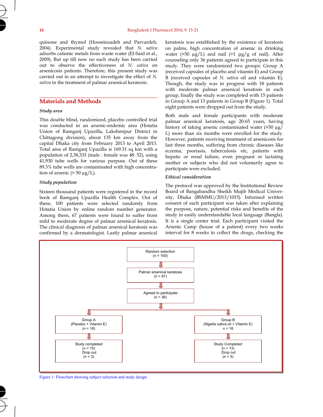quinone and thymol (Hosseinzadeh and Parvardeh, 2004). Experimental study revealed that *N. sativa* adsorbs cationic metals from waste water (El-Said et al., 2009). But up till now no such study has been carried out to observe the effectiveness of *N. sativa* on arsenicosis patients. Therefore, this present study was carried out in an attempt to investigate the effect of *N. sativa* in the treatment of palmar arsenical keratosis.

# **Materials and Methods**

### *Study area*

This double blind, randomized, placebo controlled trial was conducted in an arsenic-endemic area (Hotatia Union of Ramganj Upazilla, Lakshmipur District in Chittagong division), about 135 km away from the capital Dhaka city from February 2013 to April 2013. Total area of Ramganj Upazilla is 169.31 sq km with a population of 2,38,333 (male : female was 48: 52), using 41,930 tube wells for various purpose. Out of these 89.3% tube wells are contaminated with high concentration of arsenic ( $> 50 \mu g/L$ ).

# *Study population*

Sixteen thousand patients were registered in the record book of Ramganj Upazilla Health Complex. Out of these, 100 patients were selected randomly from Hotatia Union by online random number generator. Among them, 67 patients were found to suffer from mild to moderate degree of palmar arsenical keratosis. The clinical diagnosis of palmar arsenical keratosis was confirmed by a dermatologist. Lastly palmar arsenical

keratosis was established by the existence of keratosis on palms, high concentration of arsenic in drinking water ( $>50 \mu g/L$ ) and nail ( $>1 \mu g/g$  of nail). After counseling only 36 patients agreed to participate in this study. They were randomized two groups: Group A (received capsules of placebo and vitamin E) and Group B (received capsules of *N. sativa* oil and vitamin E). Though, the study was in progress with 18 patients with moderate palmar arsenical keratosis in each group, finally the study was completed with 15 patients in Group A and 13 patients in Group B (Figure 1). Total eight patients were dropped out from the study.

Both male and female participants with moderate palmar arsenical keratosis, age 20-65 years, having history of taking arsenic contaminated water (>50 µg/ L) more than six months were enrolled for the study. However, patients receiving treatment of arsenicosis for last three months, suffering from chronic diseases like eczema, psoriasis, tuberculosis etc, patients with hepatic or renal failure, even pregnant or lactating mother or subjects who did not voluntarily agree to participate were excluded.

# *Ethical consideration*

The protocol was approved by the Institutional Review Board of Bangabandhu Sheikh Mujib Medical University, Dhaka (BSMMU/2013/1015). Informed written consent of each participant was taken after explaining the purpose, nature, potential risks and benefits of the study in easily understandable local language (Bangla). It is a single center trial. Each participant visited the Arsenic Camp (house of a patient) every two weeks interval for 8 weeks to collect the drugs, checking the



Figure 1: Flowchart showing subject selection and study design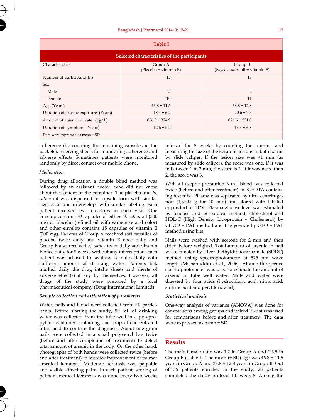| <b>Table I</b>                               |                                  |                                             |  |  |  |  |  |
|----------------------------------------------|----------------------------------|---------------------------------------------|--|--|--|--|--|
| Selected characteristics of the participants |                                  |                                             |  |  |  |  |  |
| Characteristics                              | Group A<br>(Placebo + vitamin E) | Group B<br>(Nigella sativa oil + vitamin E) |  |  |  |  |  |
| Number of participants (n)                   | 15                               | 13                                          |  |  |  |  |  |
| Sex                                          |                                  |                                             |  |  |  |  |  |
| Male                                         | 5                                | 2                                           |  |  |  |  |  |
| Female                                       | 10                               | 11                                          |  |  |  |  |  |
| Age (Years)                                  | $46.8 \pm 11.5$                  | $38.8 \pm 12.8$                             |  |  |  |  |  |
| Duration of arsenic exposure (Years)         | $18.4 \pm 6.2$                   | $20.6 \pm 7.3$                              |  |  |  |  |  |
| Amount of arsenic in water $(\mu g/L)$       | $856.9 \pm 324.9$                | $826.6 \pm 231.0$                           |  |  |  |  |  |
| Duration of symptoms (Years)                 | $12.6 \pm 5.2$                   | $13.4 \pm 6.8$                              |  |  |  |  |  |
| Data were expressed as mean ± SD             |                                  |                                             |  |  |  |  |  |

adherence (by counting the remaining capsules in the packets), receiving sheets for monitoring adherence and adverse effects Sometimes patients were monitored randomly by direct contact over mobile phone.

#### *Medication*

s<sub>r</sub>

During drug allocation a double blind method was followed by an assistant doctor, who did not know about the content of the container. The placebo and *N. sativa* oil was dispensed in capsule form with similar size, color and in envelops with similar labeling. Each patient received two envelops in each visit. One envelop contains 30 capsules of either *N. sativa* oil (500 mg) or placebo (refined oil with same size and color) and other envelop contains 15 capsules of vitamin E (200 mg). Patients of Group A received soft capsules of placebo twice daily and vitamin E once daily and Group B also received *N. sativa* twice daily and vitamin E once daily for 8 weeks without any interruption. Each patient was advised to swallow capsules daily with sufficient amount of drinking water. Patients tick marked daily the drug intake sheets and sheets of adverse effect(s) if any by themselves. However, all drugs of the study were prepared by a local pharmaceutical company (Drug International Limited).

# *Sample collection and estimation of parameters*

Water, nails and blood were collected from all participants. Before starting the study, 50 mL of drinking water was collected from the tube well in a polypropylene container containing one drop of concentrated nitric acid to confirm the diagnosis. About one gram nails were collected in a small polyvenyl bag twice (before and after completion of treatment) to detect total amount of arsenic in the body. On the other hand, photographs of both hands were collected twice (before and after treatment) to monitor improvement of palmar arsenical keratosis. Moderate keratosis was palpable and visible affecting palm. In each patient, scoring of palmar arsenical keratosis was done every two weeks

interval for 8 weeks by counting the number and measuring the size of the keratotic lesions in both palms by slide caliper. If the lesion size was <1 mm (as measured by slide caliper), the score was one. If it was in between 1 to 2 mm, the score is 2. If it was more than 2, the score was 3.

With all aseptic precaution 3 mL blood was collected twice (before and after treatment) in K3EDTA containing test tube. Plasma was separated by ultra centrifugation (1,370× g for 10 min) and stored with labeled eppendorf at -10°C. Plasma glucose level was estimated by oxidase and peroxidase method, cholesterol and HDL-C (High Density Lipoprotein – Cholesterol) by CHOD – PAP method and triglyceride by GPO – PAP method using kits.

Nails were washed with acetone for 2 min and then dried before weighed. Total amount of arsenic in nail was estimated by silver diethyldithiocarbamate (SDDC) method using spectrophotometer at 525 nm wave length (Misbahuddin et al., 2006). Atomic florescence spectrophotometer was used to estimate the amount of arsenic in tube well water. Nails and water were digested by four acids (hydrochloric acid, nitric acid, sulfuric acid and perchloric acid).

### *Statistical analysis*

One-way analysis of variance (ANOVA) was done for comparisons among groups and paired 't'-test was used for comparisons before and after treatment. The data were expressed as mean ± SD.

# **Results**

The male female ratio was 1:2 in Group A and 1:5.5 in Group B (Table I). The mean  $(\pm SD)$  age was  $46.8 \pm 11.5$ years in Group A and 38.8 ± 12.8 years in Group B. Out of 36 patients enrolled in the study, 28 patients completed the study protocol till week 8. Among the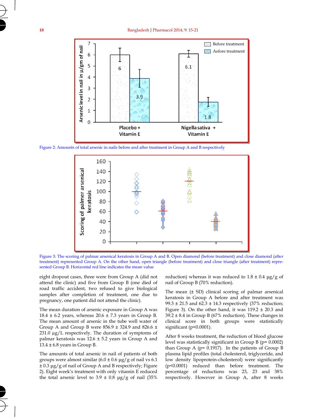#### **18** Bangladesh J Pharmacol 2014; 9: 15-21



Figure 2: Amounts of total arsenic in nails before and after treatment in Group A and B respectively



Figure 3: The scoring of palmar arsenical keratosis in Group A and B. Open diamond (before treatment) and close diamond (after treatment) represented Group A. On the other hand, open triangle (before treatment) and close triangle (after treatment) represented Group B. Horizontal red line indicates the mean value

eight dropout cases, three were from Group A (did not attend the clinic) and five from Group B (one died of road traffic accident, two refused to give biological samples after completion of treatment, one due to pregnancy, one patient did not attend the clinic).

The mean duration of arsenic exposure in Group A was 18.4  $\pm$  6.2 years, whereas 20.6  $\pm$  7.3 years in Group B. The mean amount of arsenic in the tube well water of Group A and Group B were 856.9 ± 324.9 and 826.6 ± 231.0 µg/L respectively. The duration of symptoms of palmar keratosis was 12.6 ± 5.2 years in Group A and  $13.4 \pm 6.8$  years in Group B.

The amounts of total arsenic in nail of patients of both groups were almost similar  $(6.0 \pm 0.6 \,\mu g/g)$  of nail vs 6.1 ± 0.3 μg/g of nail of Group A and B respectively; Figure 2). Eight week's treatment with only vitamin E reduced the total arsenic level to  $3.9 \pm 0.8$  µg/g of nail (35%)

reduction) whereas it was reduced to  $1.8 \pm 0.4$  µg/g of nail of Group B (70% reduction).

The mean (± SD) clinical scoring of palmar arsenical keratosis in Group A before and after treatment was 99.3  $\pm$  21.5 and 62.3  $\pm$  14.3 respectively (37% reduction; Figure 3). On the other hand, it was  $119.2 \pm 20.3$  and  $39.2 \pm 8.4$  in Group B (67% reduction). These changes in clinical score in both groups were statistically significant (p<0.0001).

After 8 weeks treatment, the reduction of blood glucose level was statistically significant in Group B (p= 0.0002) than Group A (p= 0.1917). In the patients of Group B plasma lipid profiles (total cholesterol, triglyceride, and low density lipoprotein-cholesterol) were significantly (p<0.0001) reduced than before treatment. The percentage of reductions was 23, 23 and 38% respectively. However in Group A, after 8 weeks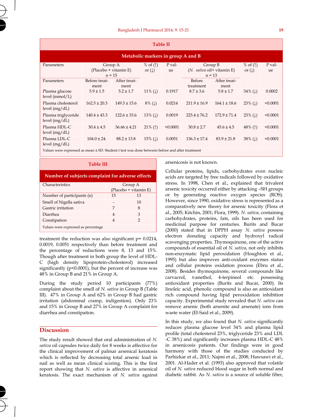| <b>Table II</b>                                                                                |                                              |                      |                                                              |                                                   |                     |                        |                         |          |
|------------------------------------------------------------------------------------------------|----------------------------------------------|----------------------|--------------------------------------------------------------|---------------------------------------------------|---------------------|------------------------|-------------------------|----------|
| Metabolic markers in group A and B                                                             |                                              |                      |                                                              |                                                   |                     |                        |                         |          |
| Parameters                                                                                     | Group A<br>(Placebo + vitamin E)<br>$n = 15$ |                      | % of $($ $\uparrow$ $)$<br>P val-<br>or $(\downarrow)$<br>ue | Group B<br>(N. sativa oil+ vitamin E)<br>$n = 13$ |                     | % of $(1)$<br>or $(1)$ | P val-<br>ue            |          |
| Parameters                                                                                     | Before treat-<br>ment                        | After treat-<br>ment |                                                              |                                                   | Before<br>treatment | After treat-<br>ment   |                         |          |
| Plasma glucose<br>level $(mmol/L)$                                                             | $5.9 \pm 1.5$                                | $5.2 \pm 1.7$        | $11\%$ ( $\downarrow$ )                                      | 0.1917                                            | $8.7 \pm 3.6$       | $5.8 \pm 1.7$          | $34\%$ (1)              | 0.0002   |
| Plasma cholesterol<br>level $(mg/dL)$                                                          | $162.5 \pm 20.3$                             | $149.3 \pm 15.6$     | $8\%$ ( $\downarrow$ )                                       | 0.0214                                            | $211.9 \pm 16.9$    | $164.1 \pm 18.6$       | 23% $(1)$               | < 0.0001 |
| Plasma triglyceride<br>level $(mg/dL)$                                                         | $140.4 \pm 43.3$                             | $122.6 \pm 33.6$     | $13\%$ ( $\downarrow$ )                                      | 0.0019                                            | $223.4 \pm 76.2$    | $172.9 \pm 71.4$       | $23\%$ ( $\downarrow$ ) | < 0.0001 |
| Plasma HDL-C<br>level $(mg/dL)$                                                                | $30.4 \pm 4.5$                               | $36.66 \pm 4.21$     | $21\%$ (1)                                                   | < 0.0001                                          | $30.8 \pm 2.7$      | $45.6 \pm 4.5$         | 48% $($ 1)              | < 0.0001 |
| Plasma LDL-C<br>level $(mg/dL)$                                                                | $104.0 \pm 24.$                              | $88.2 \pm 13.8$      | $15\%$ ( $\downarrow$ )                                      | 0.0051                                            | $136.3 \pm 17.4$    | $83.9 \pm 21.8$        | $38\%$ ( $\downarrow$ ) | < 0.0001 |
| Values were expressed as mean ± SD. Student t test was done between before and after treatment |                                              |                      |                                                              |                                                   |                     |                        |                         |          |

| <b>Table III</b>                                 |                                  |    |  |  |  |
|--------------------------------------------------|----------------------------------|----|--|--|--|
| Number of subjects complaint for adverse effects |                                  |    |  |  |  |
| Characteristics                                  | Group A<br>(Placebo + vitamin E) |    |  |  |  |
| Number of participants (n)                       | 15                               | 13 |  |  |  |
| Smell of Nigella sativa                          |                                  | 10 |  |  |  |
| Gastric irritation                               | 7                                | 8  |  |  |  |
| Diarrhea                                         | 4                                | 3  |  |  |  |
| Constipation                                     | 4                                | 2  |  |  |  |
| Values were expressed as percentage              |                                  |    |  |  |  |

treatment the reduction was also significant p= 0.0214, 0.0019, 0.0051 respectively than before treatment and the percentage of reductions were 8, 13 and 15%. Though after treatment in both group the level of HDL-C (high density lipoprotein-cholesterol) increased significantly (p<0.0001), but the percent of increase was 48% in Group B and 21% in Group A.

During the study period 10 participants (77%) complaint about the smell of *N. sativa* in Group B (Table III). 47% in Group A and 62% in Group B had gastric irritation (abdominal cramp, indigestion). Only 23% and 15% in Group B and 27% in Group A complaint for diarrhea and constipation.

# **Discussion**

The study result showed that oral administration of *N. sativa* oil capsules twice daily for 8 weeks is affective for the clinical improvement of palmar arsenical keratosis which is reflected by decreasing total arsenic load in nail as well as mean clinical scoring. This is the first report showing that *N. sativa* is affective in arsenical keratosis. The exact mechanism of *N. sativa* against arsenicosis is not known.

Cellular proteins, lipids, carbohydrates even nucleic acids are targeted by free radicals followed by oxidative stress. In 1998, Chen et al., explained that trivalent arsenic toxicity occurred either by attacking –SH groups or by generating reactive oxygen species (ROS). However, since 1990, oxidative stress is represented as a comparatively new theory for arsenic toxicity (Flora et al., 2005; Kitchin, 2001; Flora, 1999). *N. sativa,* containing carbohydrates, proteins, fats, oils has been used for medicinal purpose for centuries. Burits and Bucar (2000) stated that in DPPH assay *N. sativa* possess electron donating capacity and hydroxyl radical scavenging properties. Thymoquinone, one of the active compounds of essential oil of *N. sativa*, not only inhibits non-enzymatic lipid peroxidation (Houghton et al., 1995) but also improves anti-oxidant enzymes status and cellular proteins oxidation process (Ebru et al., 2008). Besides thymoquinone, several compounds like carvacrol, t-anethol, 4-terpineol etc. possessing antioxidant properties (Burits and Bucar, 2000). Its linoleic acid, phenolic compound is also an antioxidant rich compound having lipid peroxidation inhibition capacity. Experimental study revealed that *N. sativa* can remove arsenic (both arsenite and arsenate) ions from waste water (El-Said et al., 2009).

In this study, we also found that *N. sativa* significantly reduces plasma glucose level 34% and plasma lipid profile (total cholesterol 23%, triglyceride 23% and LDL -C 38%) and significantly increases plasma HDL-C 48% in arsenicosis patients. Our findings were in good harmony with those of the studies conducted by Parhizkar et al., 2011; Najmi et al., 2008; Hawsawi et al., 2001. Al-Hader et al. (1993) also approved that volatile oil of *N. sativa* reduced blood sugar in both normal and diabetic rabbit. As *N. sativa* is a source of soluble fiber,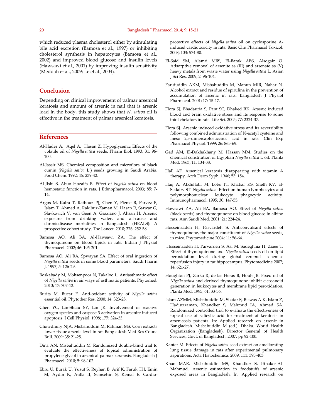which reduced plasma cholesterol either by stimulating bile acid excretion (Bamosa et al., 1997) or inhibiting cholesterol synthesis in hepatocytes (Bamosa et al., 2002) and improved blood glucose and insulin levels (Hawsawi et al., 2001) by improving insulin sensitivity (Meddah et al., 2009; Le et al., 2004).

# **Conclusion**

Depending on clinical improvement of palmar arsenical keratosis and amount of arsenic in nail that is arsenic load in the body, this study shows that *N. sativa* oil is effective in the treatment of palmar arsenical keratosis.

# **References**

- Al-Hader A, Aqel A, Hasan Z. Hypoglycemic Effects of the volatile oil of *Nigella sativa* seeds. Pharm Biol. 1993; 31: 96- 100.
- Al-Jassir MS. Chemical composition and microflora of black cumin (*Nigella sativa* L.) seeds growing in Saudi Arabia. Food Chem. 1992; 45: 239-42.
- Al-Jishi S, Abuo Hozaifa B. Effect of *Nigella sativa* on blood hemostatic function in rats. J Ethnopharmacol. 2003; 85: 7- 14.
- Argos M, Kalra T, Rathouz PJ, Chen Y, Pierce B, Parvez F, Islam T, Ahmed A, Rakibuz-Zaman M, Hasan R, Sarwar G, Slavkovich V, van Geen A, Graziano J, Ahsan H. Arsenic exposure from drinking water, and all-cause and chronicdisease mortalities in Bangladesh (HEALS): A prospective cohort study. The Lancet. 2010; 376: 252-58.
- Bamosa AO, Ali BA, Al-Hawsawi ZA. The effect of thymoquinone on blood lipids in rats. Indian J Physiol Pharmacol. 2002; 46: 195-201.
- Bamosa AO, Ali BA, Spwayan SA. Effect of oral ingestion of *Nigella sativa* seeds in some blood parameters. Saudi Pharm J. 1997; 5: 126-29.
- Boskabady M, Mohsenpoor N, Takaloo L. Antiasthmatic effect of *Nigella sativa* in air ways of asthmatic patients. Phytomed. 2010; 17: 707-13.
- Burits M, Bucar F. Anti-oxidant activity of *Nigella sativa* essential oil. Phytother Res. 2000; 14: 323-28.
- Chen YC, Lin-Shiau SY, Lin JK. Involvement of reactive oxygen species and caspase 3 activation in arsenite induced apoptosis. J Cell Physiol. 1998; 177: 324-33.
- Chowdhury NJA, Misbahuddin M, Rahman MS. Corn extracts lower tissue arsenic level in rat. Bangladesh Med Res Counc Bull. 2009; 35: 21-25.
- Dina AN, Misbahuddin M. Randomized double-blind trial to evaluate the effectiveness of topical administration of propylene glycol in arsenical palmar keratosis. Bangladesh J Pharmacol. 2010; 5: 98-102.
- Ebru U, Burak U, Yusuf S, Reyhan B, Arif K, Faruk TH, Emin M, Aydin K, Atilla II, Semsettin S, Kemal E. Cardio-

protective effects of *Nigella sativa* oil on cyclosporine Ainduced cardiotoxicity in rats. Basic Clin Pharmacol Toxicol. 2008; 103: 574-80.

- El-Said SM, Alamri MBS, El-Barak ABS, Alsogair O. Adsorptive removal of arsenite as (III) and arsenate as (V) heavy metals from waste water using *Nigella sativa* L. Asian J Sci Res. 2009; 2: 96-104.
- Fariduddin AKM, Misbahuddin M, Manun MIR, Nahar N. Alcohol extract and residue of spirulina in the prevention of accumulation of arsenic in rats. Bangladesh J Physiol Pharmacol. 2001; 17: 15-17.
- Flora SJ, Bhadauria S, Pant SC, Dhaked RK. Arsenic induced blood and brain oxidative stress and its response to some thiol chelators in rats. Life Sci. 2005; 77: 2324-37.
- Flora SJ. Arsenic induced oxidative stress and its reversibility following combined administration of N-acetyl cysteine and meso 2,3-dimercaptosuccinic acid in rats. Clin Exp Pharmacol Physiol. 1999; 26: 865-69.
- Gad AM, El-Dakhakhany M, Hassan MM. Studies on the chemical constitution of Egyptian *Nigella sativa* L oil. Planta Med. 1963; 11: 134-38.
- Hall AF. Arsenical keratosis disappearing with vitamin A therapy. Arch Derm Syph. 1946; 53: 154.
- Haq A, Abdullatif M, Lobo PI, Khabar KS, Sheth KV, al-Sedairy ST. *Nigella sativ*a: Effect on human lymphocytes and polymorphonuclear leukocyte phagocytic activity. Immunopharmacol. 1995; 30: 147-55.
- Hawsawi ZA, Ali BA, Bamosa AO. Effect of *Nigella sativa* (black seeds) and thymoquinone on blood glucose in albino rats. Ann Saudi Med. 2001; 21: 224-24.
- Hosseinzadeh H, Parvardeh S. Anticonvulsant effects of thymoquinone, the major constituent of *Nigella sativa* seeds, in mice. Phytomedicine 2004; 11: 56-64.
- Hosseinzadeh H, Parvardeh S, Asl M, Sadeghnia H, Ziaee T. Effect of thymoquinone and *Nigella sativa* seeds oil on lipid peroxidation level during global cerebral ischemiareperfusion injury in rat hippocampus. Phytomedicine 2007; 14: 621-27.
- Houghton PJ, Zarka R, de las Heras B, Hoult JR. Fixed oil of *Nigella sativa* and derived thymoquinone inhibit eicosanoid generation in leukocytes and membrane lipid peroxidation. Planta Med. 1995; 61: 33-36.
- Islam AZMM, Misbahuddin M, Sikdar S, Biswas A K, Islam Z, Hadiuzzaman, Khandker S, Mahmud IA, Ahmad SA. Randomized controlled trial to evaluate the effectiveness of topical use of salicylic acid for treatment of keratosis in arsenicosis patients. In: Applied research on arsenic in Bangladesh. Misbahuddin M (ed.). Dhaka. World Health Organization (Bangladesh), Director General of Health Services, Govt. of Bangladesh, 2007, pp 92-100.
- Kanter M. Effects of *Nigella sativa* seed extract on ameliorating lung tissue damage in rats after experimental pulmonary aspirations. Acta Histochemica. 2009; 111: 393-403.
- Khan MAR, Misbahuddin MS, Khandker S, Ifthaker-Al-Mahmud. Arsenic estimation in foodstuffs of arsenic exposed areas in Bangladesh. In: Applied research on